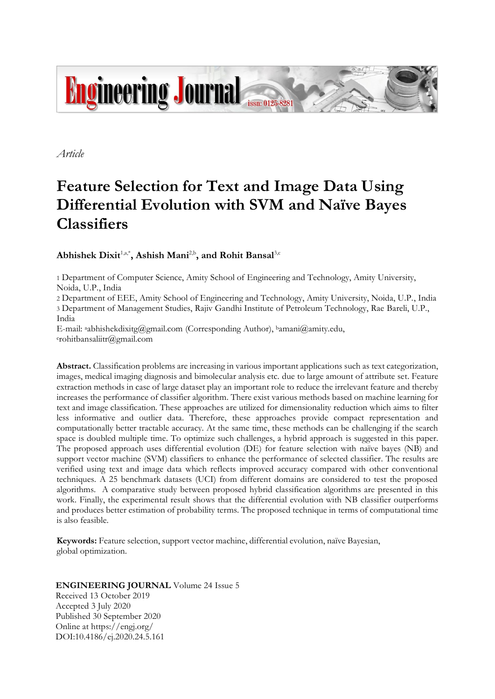

*Article*

# **Feature Selection for Text and Image Data Using Differential Evolution with SVM and Naïve Bayes Classifiers**

# **Abhishek Dixit**1,a,\* **, Ashish Mani**2,b **, and Rohit Bansal**3,c

1 Department of Computer Science, Amity School of Engineering and Technology, Amity University, Noida, U.P., India

2 Department of EEE, Amity School of Engineering and Technology, Amity University, Noida, U.P., India 3 Department of Management Studies, Rajiv Gandhi Institute of Petroleum Technology, Rae Bareli, U.P., India

E-mail: <sup>a</sup>abhishekdixitg@gmail.com (Corresponding Author), <sup>b</sup>amani@amity.edu, <sup>c</sup>rohitbansaliitr@gmail.com

**Abstract.** Classification problems are increasing in various important applications such as text categorization, images, medical imaging diagnosis and bimolecular analysis etc. due to large amount of attribute set. Feature extraction methods in case of large dataset play an important role to reduce the irrelevant feature and thereby increases the performance of classifier algorithm. There exist various methods based on machine learning for text and image classification. These approaches are utilized for dimensionality reduction which aims to filter less informative and outlier data. Therefore, these approaches provide compact representation and computationally better tractable accuracy. At the same time, these methods can be challenging if the search space is doubled multiple time. To optimize such challenges, a hybrid approach is suggested in this paper. The proposed approach uses differential evolution (DE) for feature selection with naïve bayes (NB) and support vector machine (SVM) classifiers to enhance the performance of selected classifier. The results are verified using text and image data which reflects improved accuracy compared with other conventional techniques. A 25 benchmark datasets (UCI) from different domains are considered to test the proposed algorithms. A comparative study between proposed hybrid classification algorithms are presented in this work. Finally, the experimental result shows that the differential evolution with NB classifier outperforms and produces better estimation of probability terms. The proposed technique in terms of computational time is also feasible.

**Keywords:** Feature selection, support vector machine, differential evolution, naïve Bayesian, global optimization.

# **ENGINEERING JOURNAL** Volume 24 Issue 5

Received 13 October 2019 Accepted 3 July 2020 Published 30 September 2020 Online at https://engj.org/ DOI:10.4186/ej.2020.24.5.161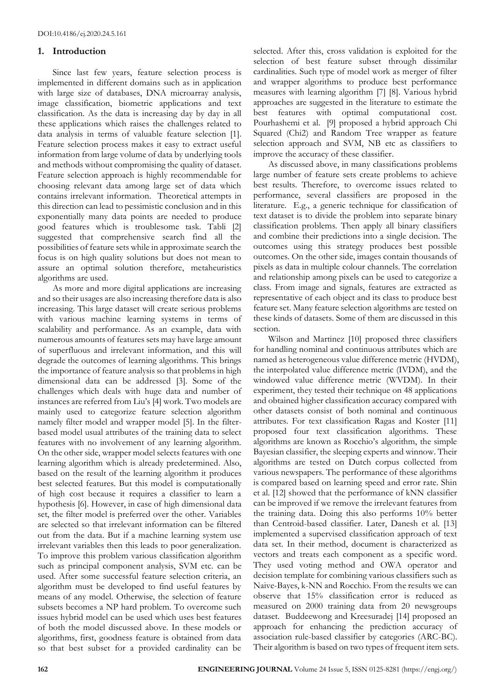# **1. Introduction**

Since last few years, feature selection process is implemented in different domains such as in application with large size of databases, DNA microarray analysis, image classification, biometric applications and text classification. As the data is increasing day by day in all these applications which raises the challenges related to data analysis in terms of valuable feature selection [1]. Feature selection process makes it easy to extract useful information from large volume of data by underlying tools and methods without compromising the quality of dataset. Feature selection approach is highly recommendable for choosing relevant data among large set of data which contains irrelevant information. Theoretical attempts in this direction can lead to pessimistic conclusion and in this exponentially many data points are needed to produce good features which is troublesome task. Tabli [2] suggested that comprehensive search find all the possibilities of feature sets while in approximate search the focus is on high quality solutions but does not mean to assure an optimal solution therefore, metaheuristics algorithms are used.

As more and more digital applications are increasing and so their usages are also increasing therefore data is also increasing. This large dataset will create serious problems with various machine learning systems in terms of scalability and performance. As an example, data with numerous amounts of features sets may have large amount of superfluous and irrelevant information, and this will degrade the outcomes of learning algorithms. This brings the importance of feature analysis so that problems in high dimensional data can be addressed [3]. Some of the challenges which deals with huge data and number of instances are referred from Liu's [4] work. Two models are mainly used to categorize feature selection algorithm namely filter model and wrapper model [5]. In the filterbased model usual attributes of the training data to select features with no involvement of any learning algorithm. On the other side, wrapper model selects features with one learning algorithm which is already predetermined. Also, based on the result of the learning algorithm it produces best selected features. But this model is computationally of high cost because it requires a classifier to learn a hypothesis [6]. However, in case of high dimensional data set, the filter model is preferred over the other. Variables are selected so that irrelevant information can be filtered out from the data. But if a machine learning system use irrelevant variables then this leads to poor generalization. To improve this problem various classification algorithm such as principal component analysis, SVM etc. can be used. After some successful feature selection criteria, an algorithm must be developed to find useful features by means of any model. Otherwise, the selection of feature subsets becomes a NP hard problem. To overcome such issues hybrid model can be used which uses best features of both the model discussed above. In these models or algorithms, first, goodness feature is obtained from data so that best subset for a provided cardinality can be selected. After this, cross validation is exploited for the selection of best feature subset through dissimilar cardinalities. Such type of model work as merger of filter and wrapper algorithms to produce best performance measures with learning algorithm [7] [8]. Various hybrid approaches are suggested in the literature to estimate the best features with optimal computational cost. Pourhashemi et al. [9] proposed a hybrid approach Chi Squared (Chi2) and Random Tree wrapper as feature selection approach and SVM, NB etc as classifiers to improve the accuracy of these classifier.

As discussed above, in many classifications problems large number of feature sets create problems to achieve best results. Therefore, to overcome issues related to performance, several classifiers are proposed in the literature. E.g., a generic technique for classification of text dataset is to divide the problem into separate binary classification problems. Then apply all binary classifiers and combine their predictions into a single decision. The outcomes using this strategy produces best possible outcomes. On the other side, images contain thousands of pixels as data in multiple colour channels. The correlation and relationship among pixels can be used to categorize a class. From image and signals, features are extracted as representative of each object and its class to produce best feature set. Many feature selection algorithms are tested on these kinds of datasets. Some of them are discussed in this section.

Wilson and Martinez [10] proposed three classifiers for handling nominal and continuous attributes which are named as heterogeneous value difference metric (HVDM), the interpolated value difference metric (IVDM), and the windowed value difference metric (WVDM). In their experiment, they tested their technique on 48 applications and obtained higher classification accuracy compared with other datasets consist of both nominal and continuous attributes. For text classification Ragas and Koster [11] proposed four text classification algorithms. These algorithms are known as Rocchio's algorithm, the simple Bayesian classifier, the sleeping experts and winnow. Their algorithms are tested on Dutch corpus collected from various newspapers. The performance of these algorithms is compared based on learning speed and error rate. Shin et al. [12] showed that the performance of kNN classifier can be improved if we remove the irrelevant features from the training data. Doing this also performs 10% better than Centroid-based classifier. Later, Danesh et al. [13] implemented a supervised classification approach of text data set. In their method, document is characterized as vectors and treats each component as a specific word. They used voting method and OWA operator and decision template for combining various classifiers such as Naive-Bayes, k-NN and Rocchio. From the results we can observe that 15% classification error is reduced as measured on 2000 training data from 20 newsgroups dataset. Buddeewong and Kreesuradej [14] proposed an approach for enhancing the prediction accuracy of association rule-based classifier by categories (ARC-BC). Their algorithm is based on two types of frequent item sets.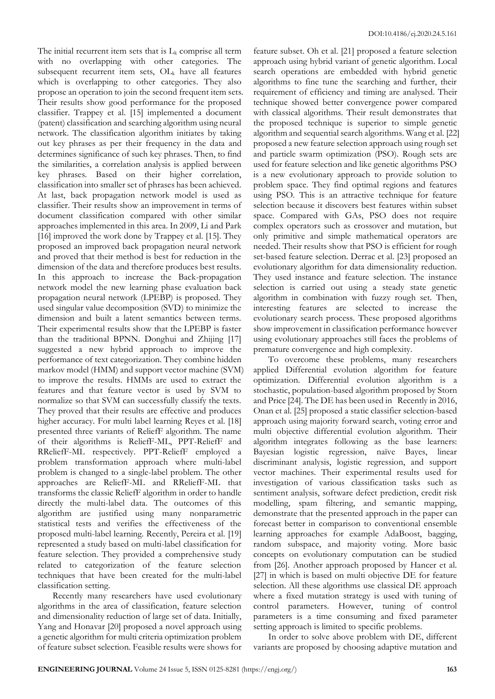The initial recurrent item sets that is  $L_k$  comprise all term with no overlapping with other categories. The subsequent recurrent item sets,  $OL_k$  have all features which is overlapping to other categories. They also propose an operation to join the second frequent item sets. Their results show good performance for the proposed classifier. Trappey et al. [15] implemented a document (patent) classification and searching algorithm using neural network. The classification algorithm initiates by taking out key phrases as per their frequency in the data and determines significance of such key phrases. Then, to find the similarities, a correlation analysis is applied between key phrases. Based on their higher correlation, classification into smaller set of phrases has been achieved. At last, back propagation network model is used as classifier. Their results show an improvement in terms of document classification compared with other similar approaches implemented in this area. In 2009, Li and Park [16] improved the work done by Trappey et al. [15]. They proposed an improved back propagation neural network and proved that their method is best for reduction in the dimension of the data and therefore produces best results. In this approach to increase the Back-propagation network model the new learning phase evaluation back propagation neural network (LPEBP) is proposed. They used singular value decomposition (SVD) to minimize the dimension and built a latent semantics between terms. Their experimental results show that the LPEBP is faster than the traditional BPNN. Donghui and Zhijing [17] suggested a new hybrid approach to improve the performance of text categorization. They combine hidden markov model (HMM) and support vector machine (SVM) to improve the results. HMMs are used to extract the features and that feature vector is used by SVM to normalize so that SVM can successfully classify the texts. They proved that their results are effective and produces higher accuracy. For multi label learning Reyes et al. [18] presented three variants of ReliefF algorithm. The name of their algorithms is ReliefF-ML, PPT-ReliefF and RReliefF-ML respectively. PPT-ReliefF employed a problem transformation approach where multi-label problem is changed to a single-label problem. The other approaches are ReliefF-ML and RReliefF-ML that transforms the classic ReliefF algorithm in order to handle directly the multi-label data. The outcomes of this algorithm are justified using many nonparametric statistical tests and verifies the effectiveness of the proposed multi-label learning. Recently, Pereira et al. [19] represented a study based on multi-label classification for feature selection. They provided a comprehensive study related to categorization of the feature selection techniques that have been created for the multi-label classification setting.

Recently many researchers have used evolutionary algorithms in the area of classification, feature selection and dimensionality reduction of large set of data. Initially, Yang and Honavar [20] proposed a novel approach using a genetic algorithm for multi criteria optimization problem of feature subset selection. Feasible results were shows for

feature subset. Oh et al. [21] proposed a feature selection approach using hybrid variant of genetic algorithm. Local search operations are embedded with hybrid genetic algorithms to fine tune the searching and further, their requirement of efficiency and timing are analysed. Their technique showed better convergence power compared with classical algorithms. Their result demonstrates that the proposed technique is superior to simple genetic algorithm and sequential search algorithms. Wang et al. [22] proposed a new feature selection approach using rough set and particle swarm optimization (PSO). Rough sets are used for feature selection and like genetic algorithms PSO is a new evolutionary approach to provide solution to problem space. They find optimal regions and features using PSO. This is an attractive technique for feature selection because it discovers best features within subset space. Compared with GAs, PSO does not require complex operators such as crossover and mutation, but only primitive and simple mathematical operators are needed. Their results show that PSO is efficient for rough set-based feature selection. Derrac et al. [23] proposed an evolutionary algorithm for data dimensionality reduction. They used instance and feature selection. The instance selection is carried out using a steady state genetic algorithm in combination with fuzzy rough set. Then, interesting features are selected to increase the evolutionary search process. These proposed algorithms show improvement in classification performance however using evolutionary approaches still faces the problems of premature convergence and high complexity.

To overcome these problems, many researchers applied Differential evolution algorithm for feature optimization. Differential evolution algorithm is a stochastic, population-based algorithm proposed by Storn and Price [24]. The DE has been used in Recently in 2016, Onan et al. [25] proposed a static classifier selection-based approach using majority forward search, voting error and multi objective differential evolution algorithm. Their algorithm integrates following as the base learners: Bayesian logistic regression, naïve Bayes, linear discriminant analysis, logistic regression, and support vector machines. Their experimental results used for investigation of various classification tasks such as sentiment analysis, software defect prediction, credit risk modelling, spam filtering, and semantic mapping, demonstrate that the presented approach in the paper can forecast better in comparison to conventional ensemble learning approaches for example AdaBoost, bagging, random subspace, and majority voting. More basic concepts on evolutionary computation can be studied from [26]. Another approach proposed by Hancer et al. [27] in which is based on multi objective DE for feature selection. All these algorithms use classical DE approach where a fixed mutation strategy is used with tuning of control parameters. However, tuning of control parameters is a time consuming and fixed parameter setting approach is limited to specific problems.

In order to solve above problem with DE, different variants are proposed by choosing adaptive mutation and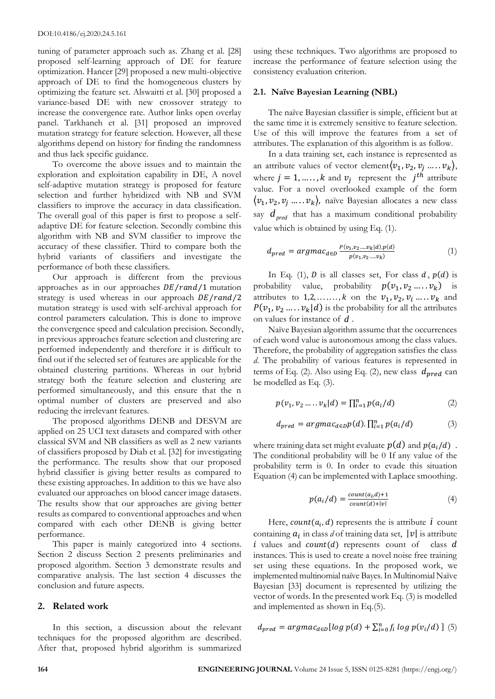tuning of parameter approach such as. Zhang et al. [28] proposed self-learning approach of DE for feature optimization. Hancer [29] proposed a new multi-objective approach of DE to find the homogeneous clusters by optimizing the feature set. Alswaitti et al. [30] proposed a variance-based DE with new crossover strategy to increase the convergence rate. Author links open overlay panel. Tarkhaneh et al. [31] proposed an improved mutation strategy for feature selection. However, all these algorithms depend on history for finding the randomness and thus lack specific guidance.

To overcome the above issues and to maintain the exploration and exploitation capability in DE, A novel self-adaptive mutation strategy is proposed for feature selection and further hybridized with NB and SVM classifiers to improve the accuracy in data classification. The overall goal of this paper is first to propose a selfadaptive DE for feature selection. Secondly combine this algorithm with NB and SVM classifier to improve the accuracy of these classifier. Third to compare both the hybrid variants of classifiers and investigate the performance of both these classifiers.

Our approach is different from the previous approaches as in our approaches  $DE/r$  and  $/1$  mutation strategy is used whereas in our approach  $DE/r$  and  $/2$ mutation strategy is used with self-archival approach for control parameters calculation. This is done to improve the convergence speed and calculation precision. Secondly, in previous approaches feature selection and clustering are performed independently and therefore it is difficult to find out if the selected set of features are applicable for the obtained clustering partitions. Whereas in our hybrid strategy both the feature selection and clustering are performed simultaneously, and this ensure that the n optimal number of clusters are preserved and also reducing the irrelevant features.

The proposed algorithms DENB and DESVM are applied on 25 UCI text datasets and compared with other classical SVM and NB classifiers as well as 2 new variants of classifiers proposed by Diab et al. [32] for investigating the performance. The results show that our proposed hybrid classifier is giving better results as compared to these existing approaches. In addition to this we have also evaluated our approaches on blood cancer image datasets. The results show that our approaches are giving better results as compared to conventional approaches and when compared with each other DENB is giving better performance.

This paper is mainly categorized into 4 sections. Section 2 discuss Section 2 presents preliminaries and proposed algorithm. Section 3 demonstrate results and comparative analysis. The last section 4 discusses the conclusion and future aspects.

# **2. Related work**

In this section, a discussion about the relevant techniques for the proposed algorithm are described. After that, proposed hybrid algorithm is summarized using these techniques. Two algorithms are proposed to increase the performance of feature selection using the consistency evaluation criterion.

### **2.1. Naïve Bayesian Learning (NBL)**

The naïve Bayesian classifier is simple, efficient but at the same time it is extremely sensitive to feature selection. Use of this will improve the features from a set of attributes. The explanation of this algorithm is as follow.

In a data training set, each instance is represented as an attribute values of vector element $(v_1, v_2, v_j, \ldots, v_k),$ where  $j = 1, \dots, k$  and  $v_j$  represent the  $j^{th}$  attribute value. For a novel overlooked example of the form  $\langle v_1, v_2, v_j, \ldots, v_k \rangle$ , naïve Bayesian allocates a new class say  $d_{pred}$  that has a maximum conditional probability value which is obtained by using Eq. (1).

$$
d_{pred} = argmac_{d \in D} \frac{P(v_1, v_2, \ldots, v_k | d) . p(d)}{p(v_1, v_2, \ldots, v_k)} \tag{1}
$$

In Eq. (1),  $D$  is all classes set, For class  $d$ ,  $p(d)$  is probability value, probability  $p(v_1, v_2, ..., v_k)$  is attributes to  $1, 2, \ldots, k$  on the  $v_1, v_2, v_i, \ldots, v_k$  and  $P(v_1, v_2, \ldots, v_k | d)$  is the probability for all the attributes on values for instance of *d* .

Naïve Bayesian algorithm assume that the occurrences of each word value is autonomous among the class values. Therefore, the probability of aggregation satisfies the class *d*. The probability of various features is represented in terms of Eq. (2). Also using Eq. (2), new class  $d_{pred}$  can be modelled as Eq. (3).

$$
p(v_1, v_2 \dots, v_k | d) = \prod_{i=1}^n p(a_i / d)
$$
 (2)

$$
d_{pred} = argmac_{d \in D}p(d). \prod_{i=1}^{n} p(a_i/d)
$$
 (3)

where training data set might evaluate  $p(d)$  and  $p(a_i/d)$ . The conditional probability will be 0 If any value of the probability term is 0. In order to evade this situation Equation (4) can be implemented with Laplace smoothing.

$$
p(a_i/d) = \frac{count(a_i, d) + 1}{count(d) + |v|} \tag{4}
$$

Here,  $count(a_i, d)$  represents the is attribute  $i$  count containing  $a_i$  in class *d* of training data set,  $|v|$  is attribute i values and  $count(d)$  represents count of class d instances. This is used to create a novel noise free training set using these equations. In the proposed work, we implemented multinomial naïve Bayes. In Multinomial Naïve Bayesian [33] document is represented by utilizing the vector of words. In the presented work Eq. (3) is modelled and implemented as shown in Eq.(5).

$$
d_{pred} = argmac_{d \in D} [log\ p(d) + \sum_{i=0}^{n} f_i\ log\ p(v_i/d)] \ (5)
$$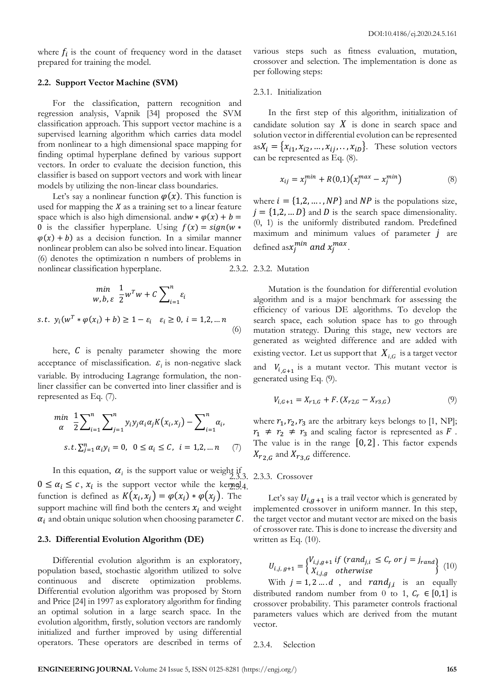where  $f_i$  is the count of frequency word in the dataset prepared for training the model.

# **2.2. Support Vector Machine (SVM)**

For the classification, pattern recognition and regression analysis, Vapnik [34] proposed the SVM classification approach. This support vector machine is a supervised learning algorithm which carries data model from nonlinear to a high dimensional space mapping for finding optimal hyperplane defined by various support vectors. In order to evaluate the decision function, this classifier is based on support vectors and work with linear models by utilizing the non-linear class boundaries.

Let's say a nonlinear function  $\varphi(x)$ . This function is used for mapping the  $X$  as a training set to a linear feature space which is also high dimensional. and  $w * \varphi(x) + b =$ 0 is the classifier hyperplane. Using  $f(x) = sign(w *$  $\varphi(x) + b$  as a decision function. In a similar manner nonlinear problem can also be solved into linear. Equation (6) denotes the optimization n numbers of problems in nonlinear classification hyperplane.

$$
\min_{w, b, \varepsilon} \frac{1}{2} w^T w + C \sum_{i=1}^n \varepsilon_i
$$
  
s.t.  $y_i(w^T * \varphi(x_i) + b) \ge 1 - \varepsilon_i \quad \varepsilon_i \ge 0, i = 1, 2, ... n$  (6)

here,  $\hat{C}$  is penalty parameter showing the more acceptance of misclassification.  $\varepsilon_i$  is non-negative slack variable. By introducing Lagrange formulation, the nonliner classifier can be converted into liner classifier and is represented as Eq. (7).

$$
\min_{\alpha} \frac{1}{2} \sum_{i=1}^{n} \sum_{j=1}^{n} y_i y_j \alpha_i \alpha_j K(x_i, x_j) - \sum_{i=1}^{n} \alpha_i,
$$
  
s.t.  $\sum_{j=1}^{n} \alpha_i y_i = 0, \ 0 \le \alpha_i \le C, \ i = 1, 2, \dots n \quad (7)$ 

In this equation,  $\alpha_i$  is the support value or weight if 2.3.3. 2.3.3. Crossover  $0 \leq \alpha_i \leq c$ ,  $x_i$  is the support vector while the kernel 4. function is defined as  $K(x_i, x_j) = \varphi(x_i) * \varphi(x_j)$ . The support machine will find both the centers  $x_i$  and weight  $\alpha_i$  and obtain unique solution when choosing parameter  $\mathcal C$ .

### **2.3. Differential Evolution Algorithm (DE)**

Differential evolution algorithm is an exploratory, population based, stochastic algorithm utilized to solve continuous and discrete optimization problems. Differential evolution algorithm was proposed by Storn and Price [24] in 1997 as exploratory algorithm for finding an optimal solution in a large search space. In the evolution algorithm, firstly, solution vectors are randomly initialized and further improved by using differential operators. These operators are described in terms of various steps such as fitness evaluation, mutation, crossover and selection. The implementation is done as per following steps:

### 2.3.1. Initialization

In the first step of this algorithm, initialization of candidate solution say  $X$  is done in search space and solution vector in differential evolution can be represented  $asX_i = \{x_{i1}, x_{i2}, \ldots, x_{ij}, \ldots, x_{iD}\}.$  These solution vectors can be represented as Eq. (8).

$$
x_{ij} = x_j^{min} + R(0,1)(x_j^{max} - x_j^{min})
$$
 (8)

where  $i = \{1,2,\ldots,NP\}$  and  $NP$  is the populations size,  $j = \{1,2,...,D\}$  and D is the search space dimensionality. (0, 1) is the uniformly distributed random. Predefined maximum and minimum values of parameter *j* are defined as  $x_j^{min}$  and  $x_j^{max}$ .

# 2.3.2. 2.3.2. Mutation

Mutation is the foundation for differential evolution algorithm and is a major benchmark for assessing the efficiency of various DE algorithms. To develop the search space, each solution space has to go through mutation strategy. During this stage, new vectors are generated as weighted difference and are added with existing vector. Let us support that  $X_{i,G}$  is a target vector and  $V_{i, G+1}$  is a mutant vector. This mutant vector is generated using Eq. (9).

$$
V_{i,G+1} = X_{r1,G} + F \cdot (X_{r2,G} - X_{r3,G}) \tag{9}
$$

where  $r_1$ ,  $r_2$ ,  $r_3$  are the arbitrary keys belongs to [1, NP];  $r_1 \neq r_2 \neq r_3$  and scaling factor is represented as F. The value is in the range  $[0, 2]$ . This factor expends  $X_{r_{2,G}}$  and  $X_{r_{3,G}}$  difference.

Let's say  $U_{i,q+1}$  is a trail vector which is generated by implemented crossover in uniform manner. In this step, the target vector and mutant vector are mixed on the basis of crossover rate. This is done to increase the diversity and written as Eq. (10).

$$
U_{i,j,g+1} = \begin{cases} V_{i,j,g+1} & \text{if } (rand_{j,i} \leq C_r \text{ or } j = j_{rand}) \\ X_{i,j,g} & \text{otherwise} \end{cases} \tag{10}
$$

With  $j = 1, 2, \ldots, d$ , and  $rand_{j,i}$  is an equally distributed random number from 0 to 1,  $C_r \in [0,1]$  is crossover probability. This parameter controls fractional parameters values which are derived from the mutant vector.

2.3.4. Selection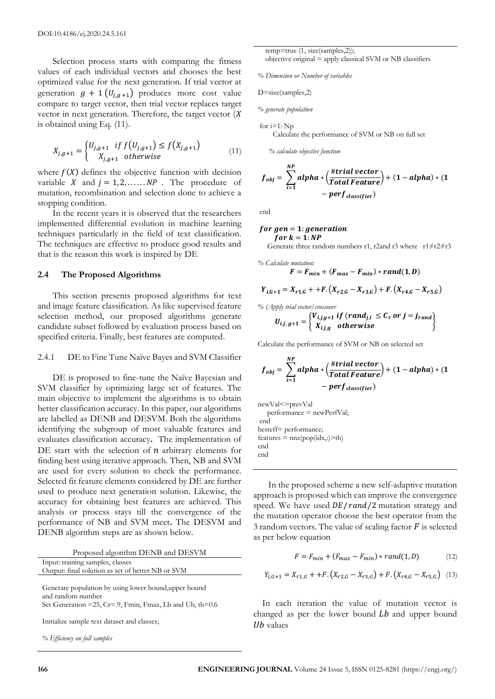Selection process starts with comparing the fitness values of each individual vectors and chooses the best optimized value for the next generation. If trial vector at generation  $g + 1 (U_{i, g+1})$  produces more cost value compare to target vector, then trial vector replaces target vector in next generation. Therefore, the target vector  $(X$ is obtained using Eq. (11).

$$
X_{j,g+1} = \begin{cases} U_{j,g+1} & \text{if } f\left(U_{j,g+1}\right) \le f\left(X_{j,g+1}\right) \\ X_{j,g+1} & \text{otherwise} \end{cases} \tag{11}
$$

where  $f(X)$  defines the objective function with decision variable X and  $j = 1, 2, \ldots$  NP. The procedure of mutation, recombination and selection done to achieve a stopping condition.

In the recent years it is observed that the researchers implemented differential evolution in machine learning techniques particularly in the field of text classification. The techniques are effective to produce good results and that is the reason this work is inspired by DE

# **2.4 The Proposed Algorithms**

This section presents proposed algorithms for text and image feature classification. As like supervised feature selection method, our proposed algorithms generate candidate subset followed by evaluation process based on specified criteria. Finally, best features are computed.

### 2.4.1 DE to Fine Tune Naïve Bayes and SVM Classifier

DE is proposed to fine-tune the Naïve Bayesian and SVM classifier by optimizing large set of features. The main objective to implement the algorithms is to obtain better classification accuracy. In this paper, our algorithms are labelled as DENB and DESVM. Both the algorithms identifying the subgroup of most valuable features and evaluates classification accuracy**.** The implementation of DE start with the selection of  $n$  arbitrary elements for finding best using iterative approach. Then, NB and SVM are used for every solution to check the performance. Selected fit feature elements considered by DE are further used to produce next generation solution. Likewise, the accuracy for obtaining best features are achieved. This analysis or process stays till the convergence of the performance of NB and SVM meet**.** The DESVM and DENB algorithm steps are as shown below.

|  | Proposed algorithm DENB and DESVM |  |  |  |
|--|-----------------------------------|--|--|--|
|--|-----------------------------------|--|--|--|

|  | Input: training samples, classes                                                                                                              |  |  |  |  |
|--|-----------------------------------------------------------------------------------------------------------------------------------------------|--|--|--|--|
|  | Output: final solution as set of better NB or SVM                                                                                             |  |  |  |  |
|  |                                                                                                                                               |  |  |  |  |
|  | $\frac{1}{2}$ , $\frac{1}{2}$ , $\frac{1}{2}$ , $\frac{1}{2}$ , $\frac{1}{2}$ , $\frac{1}{2}$ , $\frac{1}{2}$ , $\frac{1}{2}$ , $\frac{1}{2}$ |  |  |  |  |

Generate population by using lower bound,upper bound and random number Set Generation =25, Cr=.9, Fmin, Fmax, Lb and Ub, th=0.6

Initialize sample text dataset and classes;

*% Efficiency on full samples*

 temp=true (1, size(samples,2)); objective original = apply classical SVM or NB classifiers

*% Dimension or Number of variables*

D=size(samples,2)

*% generate population*

for  $i=1$ : Np Calculate the performance of SVM or NB on full set

 *% calculate objective function*

$$
f_{obj} = \sum_{i=1}^{NP} alpha * (\frac{\#trial\ vector}{Total\ Feature}) + (1 - alpha) * (1 - \nperf_{classification})
$$
\n
$$
- perf_{classification}
$$

end

for gen = 1: generation  
for 
$$
k = 1: NP
$$
  
Geometric three random numbers: 1: 2 and 23 where,  $1 + 2 + 2$ 

three random numbers r1, r2and r3 where r1≠r2≠r3

% Calculate mutation:  

$$
F = F_{min} + (F_{max} - F_{min}) * rand(1, D)
$$

$$
Y_{i,G+1} = X_{r1,G} + +F.(X_{r2,G} - X_{r3,G}) + F.(X_{r4,G} - X_{r5,G})
$$

$$
\% (Apply trial vector/crossover\nU_{i,j,g+1} = \begin{cases} V_{i,j,g+1} \text{ if } (rand_{j,i} \leq C_r \text{ or } j = j_{rand}) \\ X_{i,j,g} \text{ otherwise} \end{cases}
$$

Calculate the performance of SVM or NB on selected set

$$
f_{obj} = \sum_{i=1}^{NP} alpha * (\frac{\#trial\ vector}{Total\ Feature}) + (1 - alpha) * (1 - \nperf_{classification})
$$
  
-  $perf_{classification}$ 

newVal<=prevVal performance = newPerfVal; end besteff= performance;  $features = nnz(pop(idx,:)>th)$ end end

In the proposed scheme a new self-adaptive mutation approach is proposed which can improve the convergence speed. We have used  $DE/r$  and  $/2$  mutation strategy and the mutation operator choose the best operator from the 3 random vectors. The value of scaling factor  $\vec{F}$  is selected as per below equation

$$
F = F_{min} + (F_{max} - F_{min}) * rand(1, D) \tag{12}
$$

$$
Y_{i,G+1} = X_{r1,G} + +F \cdot (X_{r2,G} - X_{r3,G}) + F \cdot (X_{r4,G} - X_{r5,G}) \tag{13}
$$

In each iteration the value of mutation vector is changed as per the lower bound  $Lb$  and upper bound  $Ub$  values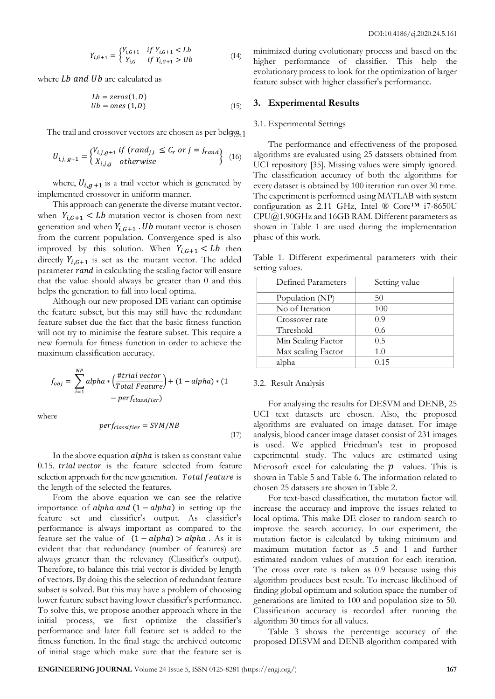$$
Y_{i,G+1} = \begin{cases} Y_{i,G+1} & \text{if } Y_{i,G+1} < Lb \\ Y_{i,G} & \text{if } Y_{i,G+1} > Ub \end{cases} \tag{14}
$$

where  $Lb$  and  $Ub$  are calculated as

$$
Lb = zeros(1, D)
$$
  
\n
$$
Ub = ones(1, D)
$$
\n(15)

The trail and crossover vectors are chosen as per belgys.1

$$
U_{i,j,g+1} = \begin{cases} V_{i,j,g+1} & \text{if } (rand_{j,i} \leq C_r \text{ or } j = j_{rand} \\ X_{i,j,g} & \text{otherwise} \end{cases} \tag{16}
$$

where,  $U_{i,g+1}$  is a trail vector which is generated by implemented crossover in uniform manner.

This approach can generate the diverse mutant vector. when  $Y_{i,G+1} < Lb$  mutation vector is chosen from next generation and when  $Y_{i,G+1}$ . Ub mutant vector is chosen from the current population. Convergence sped is also improved by this solution. When  $Y_{i,G+1} < Lb$  then directly  $Y_{i,G+1}$  is set as the mutant vector. The added parameter rand in calculating the scaling factor will ensure that the value should always be greater than 0 and this helps the generation to fall into local optima.

Although our new proposed DE variant can optimise the feature subset, but this may still have the redundant feature subset due the fact that the basic fitness function will not try to minimise the feature subset. This require a new formula for fitness function in order to achieve the maximum classification accuracy.

$$
f_{obj} = \sum_{i=1}^{NP} alpha * \left(\frac{\#trial\ vector}{Total\ Feature}\right) + (1 - alpha) * (1 - \nperf_{classifier})
$$

where

$$
perf_{classifier} = SVM/NB
$$
\n<sup>(17)</sup>

In the above equation *alpha* is taken as constant value  $0.15.$  trial vector is the feature selected from feature selection approach for the new generation. Total feature is the length of the selected the features.

From the above equation we can see the relative importance of alpha and  $(1 - alpha)$  in setting up the feature set and classifier's output. As classifier's performance is always important as compared to the feature set the value of  $(1 - alpha) > alpha$ . As it is evident that that redundancy (number of features) are always greater than the relevancy (Classifier's output). Therefore, to balance this trial vector is divided by length of vectors. By doing this the selection of redundant feature subset is solved. But this may have a problem of choosing lower feature subset having lower classifier's performance. To solve this, we propose another approach where in the initial process, we first optimize the classifier's performance and later full feature set is added to the fitness function. In the final stage the archived outcome of initial stage which make sure that the feature set is

minimized during evolutionary process and based on the higher performance of classifier. This help the evolutionary process to look for the optimization of larger feature subset with higher classifier's performance.

### **3. Experimental Results**

## 3.1. Experimental Settings

The performance and effectiveness of the proposed algorithms are evaluated using 25 datasets obtained from UCI repository [35]. Missing values were simply ignored. The classification accuracy of both the algorithms for every dataset is obtained by 100 iteration run over 30 time. The experiment is performed using MATLAB with system configuration as 2.11 GHz, Intel ® Core™ i7-8650U CPU@1.90GHz and 16GB RAM. Different parameters as shown in Table 1 are used during the implementation phase of this work.

Table 1. Different experimental parameters with their setting values.

| Defined Parameters | Setting value |
|--------------------|---------------|
| Population (NP)    | 50            |
| No of Iteration    | 100           |
| Crossover rate     | 0.9           |
| Threshold          | 0.6           |
| Min Scaling Factor | 0.5           |
| Max scaling Factor | 1.0           |
| alpha              | 0.15          |

### 3.2. Result Analysis

For analysing the results for DESVM and DENB, 25 UCI text datasets are chosen. Also, the proposed algorithms are evaluated on image dataset. For image analysis, blood cancer image dataset consist of 231 images is used. We applied Friedman's test in proposed experimental study. The values are estimated using Microsoft excel for calculating the  $p$  values. This is shown in Table 5 and Table 6. The information related to chosen 25 datasets are shown in Table 2.

For text-based classification, the mutation factor will increase the accuracy and improve the issues related to local optima. This make DE closer to random search to improve the search accuracy. In our experiment, the mutation factor is calculated by taking minimum and maximum mutation factor as .5 and 1 and further estimated random values of mutation for each iteration. The cross over rate is taken as 0.9 because using this algorithm produces best result. To increase likelihood of finding global optimum and solution space the number of generations are limited to 100 and population size to 50. Classification accuracy is recorded after running the algorithm 30 times for all values.

Table 3 shows the percentage accuracy of the proposed DESVM and DENB algorithm compared with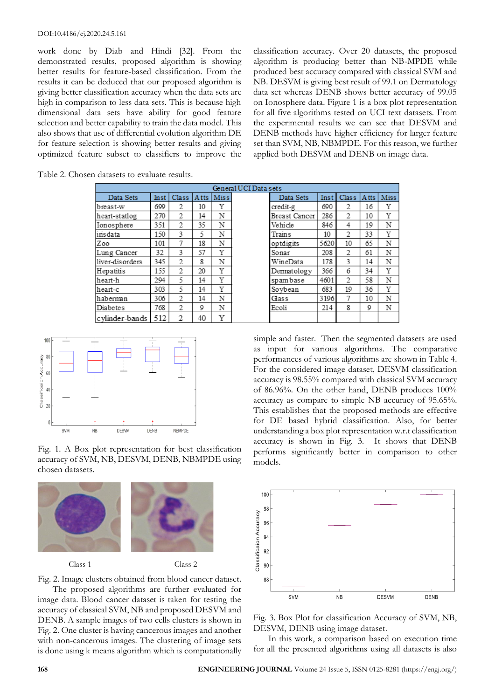work done by Diab and Hindi [32]. From the demonstrated results, proposed algorithm is showing better results for feature-based classification. From the results it can be deduced that our proposed algorithm is giving better classification accuracy when the data sets are high in comparison to less data sets. This is because high dimensional data sets have ability for good feature selection and better capability to train the data model. This also shows that use of differential evolution algorithm DE for feature selection is showing better results and giving optimized feature subset to classifiers to improve the

classification accuracy. Over 20 datasets, the proposed algorithm is producing better than NB-MPDE while produced best accuracy compared with classical SVM and NB. DESVM is giving best result of 99.1 on Dermatology data set whereas DENB shows better accuracy of 99.05 on Ionosphere data. Figure 1 is a box plot representation for all five algorithms tested on UCI text datasets. From the experimental results we can see that DESVM and DENB methods have higher efficiency for larger feature set than SVM, NB, NBMPDE. For this reason, we further applied both DESVM and DENB on image data.

| Table 2. Chosen datasets to evaluate results. |  |
|-----------------------------------------------|--|
|-----------------------------------------------|--|

|                 |      |                         |             |             | General UCI Data |
|-----------------|------|-------------------------|-------------|-------------|------------------|
| Data Sets       | Inst | Class                   | <b>Atts</b> | <b>Miss</b> |                  |
| breast-w        | 699  | 2                       | 10          | Y           |                  |
| heart-statlog   | 270  | 2                       | 14          | Ν           |                  |
| Ionosphere      | 351  | $\overline{c}$          | 35          | N           |                  |
| insdata         | 150  | 3                       | 5           | N           |                  |
| Zoo             | 101  | 7                       | 18          | N           |                  |
| Lung Cancer     | 32   | 3                       | 57          | Y           |                  |
| liver-disorders | 345  | $\overline{\mathbf{c}}$ | 8           | N           |                  |
| Hepatitis       | 155  | $\mathfrak{2}$          | 20          | Y           |                  |
| heart-h         | 294  | 5                       | 14          | Y           |                  |
| heart-c         | 303  | 5                       | 14          | Y           |                  |
| haberman        | 306  | $\mathfrak{D}$          | 14          | N           |                  |
| Diabetes        | 768  | $\overline{c}$          | 9           | Ν           |                  |
| cylinder-bands  | 512  | 2                       | 40          | Y           |                  |







Class 1 Class 2



Fig. 2. Image clusters obtained from blood cancer dataset. The proposed algorithms are further evaluated for

image data. Blood cancer dataset is taken for testing the accuracy of classical SVM, NB and proposed DESVM and DENB. A sample images of two cells clusters is shown in Fig. 2. One cluster is having cancerous images and another with non-cancerous images. The clustering of image sets is done using k means algorithm which is computationally

| ı sets        |      |              |       |             |
|---------------|------|--------------|-------|-------------|
| Data Sets     | Inst | <b>Class</b> | A tts | <b>Miss</b> |
| credit-g      | 690  | 2            | 16    | Υ           |
| Breast Cancer | 286  | 2            | 10    | Y           |
| Vehicle       | 846  | 4            | 19    | N           |
| Trains        | 10   | 2            | 33    | Y           |
| optdigits     | 5620 | 10           | 65    | N           |
| Sonar         | 208  | 2            | 61    | N           |
| WineData      | 178  | 3            | 14    | N           |
| Dermatology   | 366  | 6            | 34    | Y           |
| spambase      | 4601 | 2            | 58    | N           |
| Soybean       | 683  | 19           | 36    | Y           |
| Glass         | 3196 | 7            | 10    | N           |
| Ecoli         | 214  | 8            | Q     | Ν           |
|               |      |              |       |             |

simple and faster. Then the segmented datasets are used as input for various algorithms. The comparative performances of various algorithms are shown in Table 4. For the considered image dataset, DESVM classification accuracy is 98.55% compared with classical SVM accuracy of 86.96%. On the other hand, DENB produces 100% accuracy as compare to simple NB accuracy of 95.65%. This establishes that the proposed methods are effective for DE based hybrid classification. Also, for better understanding a box plot representation w.r.t classification accuracy is shown in Fig. 3. It shows that DENB performs significantly better in comparison to other models.



Fig. 3. Box Plot for classification Accuracy of SVM, NB, DESVM, DENB using image dataset.

In this work, a comparison based on execution time for all the presented algorithms using all datasets is also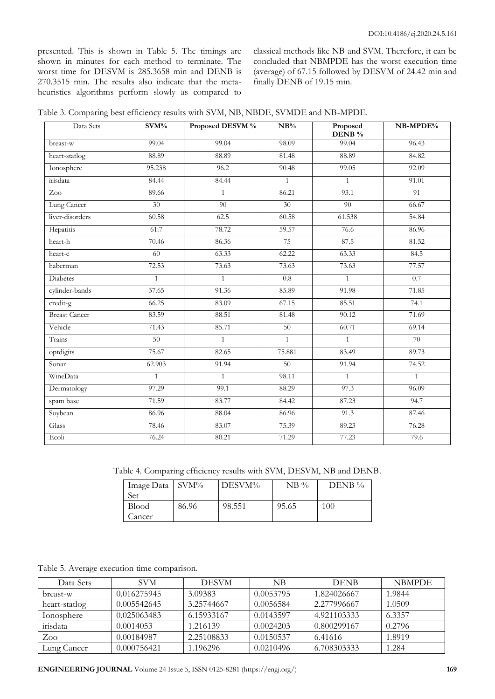presented. This is shown in Table 5. The timings are shown in minutes for each method to terminate. The worst time for DESVM is 285.3658 min and DENB is 270.3515 min. The results also indicate that the metaheuristics algorithms perform slowly as compared to classical methods like NB and SVM. Therefore, it can be concluded that NBMPDE has the worst execution time (average) of 67.15 followed by DESVM of 24.42 min and finally DENB of 19.15 min.

| Table 3. Comparing best efficiency results with SVM, NB, NBDE, SVMDE and NB-MPDE. |  |
|-----------------------------------------------------------------------------------|--|
|-----------------------------------------------------------------------------------|--|

| Data Sets            | $\overline{\text{SVM}}\%$ | Proposed DESVM % | $NB\%$          | Proposed<br>DENB % | NB-MPDE%     |
|----------------------|---------------------------|------------------|-----------------|--------------------|--------------|
| breast-w             | 99.04                     | 99.04            | 98.09           | 99.04              | 96.43        |
| heart-statlog        | 88.89                     | 88.89            | 81.48           | 88.89              | 84.82        |
| Ionosphere           | 95.238                    | 96.2             | 90.48           | 99.05              | 92.09        |
| irisdata             | 84.44                     | 84.44            | $\mathbf{1}$    | $\mathbf{1}$       | 91.01        |
| Zoo                  | 89.66                     | $\mathbf{1}$     | 86.21           | 93.1               | 91           |
| Lung Cancer          | 30                        | 90               | 30              | 90                 | 66.67        |
| liver-disorders      | 60.58                     | 62.5             | 60.58           | 61.538             | 54.84        |
| Hepatitis            | 61.7                      | 78.72            | 59.57           | 76.6               | 86.96        |
| heart-h              | 70.46                     | 86.36            | 75              | 87.5               | 81.52        |
| heart-c              | 60                        | 63.33            | 62.22           | 63.33              | 84.5         |
| haberman             | 72.53                     | 73.63            | 73.63           | 73.63              | 77.57        |
| Diabetes             | $\mathbf{1}$              | $\mathbf{1}$     | $0.8\,$         | $\mathbf{1}$       | 0.7          |
| cylinder-bands       | 37.65                     | 91.36            | 85.89           | 91.98              | 71.85        |
| credit-g             | 66.25                     | 83.09            | 67.15           | 85.51              | 74.1         |
| <b>Breast Cancer</b> | 83.59                     | 88.51            | 81.48           | 90.12              | 71.69        |
| Vehicle              | 71.43                     | 85.71            | $\overline{50}$ | 60.71              | 69.14        |
| Trains               | $\overline{50}$           | $\mathbf{1}$     | $\mathbf{1}$    | $\mathbf{1}$       | 70           |
| optdigits            | 75.67                     | 82.65            | 75.881          | 83.49              | 89.73        |
| Sonar                | 62.903                    | 91.94            | 50              | 91.94              | 74.52        |
| WineData             | $\mathbf{1}$              | $\mathbf{1}$     | 98.11           | $\mathbf{1}$       | $\mathbf{1}$ |
| Dermatology          | 97.29                     | 99.1             | 88.29           | 97.3               | 96.09        |
| spam base            | 71.59                     | 83.77            | 84.42           | 87.23              | 94.7         |
| Soybean              | 86.96                     | 88.04            | 86.96           | 91.3               | 87.46        |
| Glass                | 78.46                     | 83.07            | 75.39           | 89.23              | 76.28        |
| Ecoli                | 76.24                     | 80.21            | 71.29           | 77.23              | 79.6         |

Table 4. Comparing efficiency results with SVM, DESVM, NB and DENB.

| Image Data<br>Set      | $\sim$ SVM% | DESVM% | $NB\%$ | DENB $\%$ |
|------------------------|-------------|--------|--------|-----------|
| <b>Blood</b><br>Cancer | 86.96       | 98.551 | 95.65  | 100       |

Table 5. Average execution time comparison.

| Data Sets     | <b>SVM</b>  | <b>DESVM</b> | NB        | <b>DENB</b> | <b>NBMPDE</b> |
|---------------|-------------|--------------|-----------|-------------|---------------|
| breast-w      | 0.016275945 | 3.09383      | 0.0053795 | 1.824026667 | 1.9844        |
| heart-statlog | 0.005542645 | 3.25744667   | 0.0056584 | 2.277996667 | 1.0509        |
| Ionosphere    | 0.025063483 | 6.15933167   | 0.0143597 | 4.921103333 | 6.3357        |
| irisdata      | 0.0014053   | 1.216139     | 0.0024203 | 0.800299167 | 0.2796        |
| Zoo           | 0.00184987  | 2.25108833   | 0.0150537 | 6.41616     | 1.8919        |
| Lung Cancer   | 0.000756421 | 1.196296     | 0.0210496 | 6.708303333 | 1.284         |

**ENGINEERING JOURNAL** Volume 24 Issue 5, ISSN 0125-8281 (https://engj.org/) **169**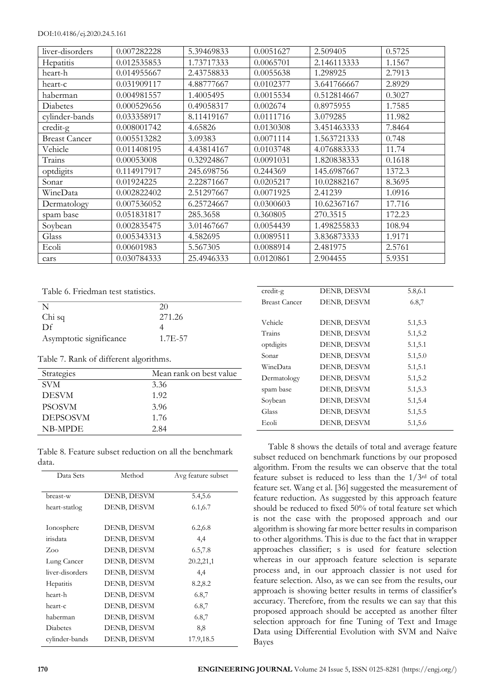### DOI:10.4186/ej.2020.24.5.161

| liver-disorders      | 0.007282228 | 5.39469833 | 0.0051627 | 2.509405    | 0.5725 |
|----------------------|-------------|------------|-----------|-------------|--------|
| Hepatitis            | 0.012535853 | 1.73717333 | 0.0065701 | 2.146113333 | 1.1567 |
| heart-h              | 0.014955667 | 2.43758833 | 0.0055638 | 1.298925    | 2.7913 |
| heart-c              | 0.031909117 | 4.88777667 | 0.0102377 | 3.641766667 | 2.8929 |
| haberman             | 0.004981557 | 1.4005495  | 0.0015534 | 0.512814667 | 0.3027 |
| Diabetes             | 0.000529656 | 0.49058317 | 0.002674  | 0.8975955   | 1.7585 |
| cylinder-bands       | 0.033358917 | 8.11419167 | 0.0111716 | 3.079285    | 11.982 |
| credit-g             | 0.008001742 | 4.65826    | 0.0130308 | 3.451463333 | 7.8464 |
| <b>Breast Cancer</b> | 0.005513282 | 3.09383    | 0.0071114 | 1.563721333 | 0.748  |
| Vehicle              | 0.011408195 | 4.43814167 | 0.0103748 | 4.076883333 | 11.74  |
| Trains               | 0.00053008  | 0.32924867 | 0.0091031 | 1.820838333 | 0.1618 |
| optdigits            | 0.114917917 | 245.698756 | 0.244369  | 145.6987667 | 1372.3 |
| Sonar                | 0.01924225  | 2.22871667 | 0.0205217 | 10.02882167 | 8.3695 |
| WineData             | 0.002822402 | 2.51297667 | 0.0071925 | 2.41239     | 1.0916 |
| Dermatology          | 0.007536052 | 6.25724667 | 0.0300603 | 10.62367167 | 17.716 |
| spam base            | 0.051831817 | 285.3658   | 0.360805  | 270.3515    | 172.23 |
| Soybean              | 0.002835475 | 3.01467667 | 0.0054439 | 1.498255833 | 108.94 |
| Glass                | 0.005343313 | 4.582695   | 0.0089511 | 3.836873333 | 1.9171 |
| Ecoli                | 0.00601983  | 5.567305   | 0.0088914 | 2.481975    | 2.5761 |
| cars                 | 0.030784333 | 25.4946333 | 0.0120861 | 2.904455    | 5.9351 |

Table 6. Friedman test statistics.

|                         | 20      |
|-------------------------|---------|
| Chi sq                  | 271.26  |
| Df                      |         |
| Asymptotic significance | 1.7E-57 |

Table 7. Rank of different algorithms.

| Strategies      | Mean rank on best value |
|-----------------|-------------------------|
| SVM             | 3.36                    |
| <b>DESVM</b>    | 1.92                    |
| <b>PSOSVM</b>   | 3.96                    |
| <b>DEPSOSVM</b> | 1.76                    |
| NB-MPDE         | 2.84                    |

Table 8. Feature subset reduction on all the benchmark data.

|             | 5.4,5.6     |
|-------------|-------------|
| DENB, DESVM | 6.1, 6.7    |
| DENB, DESVM | 6.2,6.8     |
| DENB, DESVM | 4,4         |
| DENB, DESVM | 6.5,7.8     |
| DENB, DESVM | 20.2,21,1   |
| DENB, DESVM | 4,4         |
| DENB, DESVM | 8.2,8.2     |
| DENB, DESVM | 6.8,7       |
| DENB, DESVM | 6.8,7       |
| DENB, DESVM | 6.8,7       |
| DENB, DESVM | 8,8         |
| DENB, DESVM | 17.9,18.5   |
|             | DENB, DESVM |

| credit-g             | DENB, DESVM | 5.8,6.1 |  |
|----------------------|-------------|---------|--|
| <b>Breast Cancer</b> | DENB, DESVM | 6.8,7   |  |
|                      |             |         |  |
| Vehicle              | DENB, DESVM | 5.1,5.3 |  |
| Trains               | DENB, DESVM | 5.1,5.2 |  |
| optdigits            | DENB, DESVM | 5.1,5.1 |  |
| Sonar                | DENB, DESVM | 5.1,5.0 |  |
| WineData             | DENB, DESVM | 5.1,5.1 |  |
| Dermatology          | DENB, DESVM | 5.1,5.2 |  |
| spam base            | DENB, DESVM | 5.1,5.3 |  |
| Soybean              | DENB, DESVM | 5.1,5.4 |  |
| Glass                | DENB, DESVM | 5.1,5.5 |  |
| Ecoli                | DENB, DESVM | 5.1,5.6 |  |
|                      |             |         |  |

Table 8 shows the details of total and average feature subset reduced on benchmark functions by our proposed algorithm. From the results we can observe that the total feature subset is reduced to less than the  $1/3<sup>rd</sup>$  of total feature set. Wang et al. [36] suggested the measurement of feature reduction. As suggested by this approach feature should be reduced to fixed 50% of total feature set which is not the case with the proposed approach and our algorithm is showing far more better results in comparison to other algorithms. This is due to the fact that in wrapper approaches classifier; s is used for feature selection whereas in our approach feature selection is separate process and, in our approach classier is not used for feature selection. Also, as we can see from the results, our approach is showing better results in terms of classifier's accuracy. Therefore, from the results we can say that this proposed approach should be accepted as another filter selection approach for fine Tuning of Text and Image Data using Differential Evolution with SVM and Naïve Bayes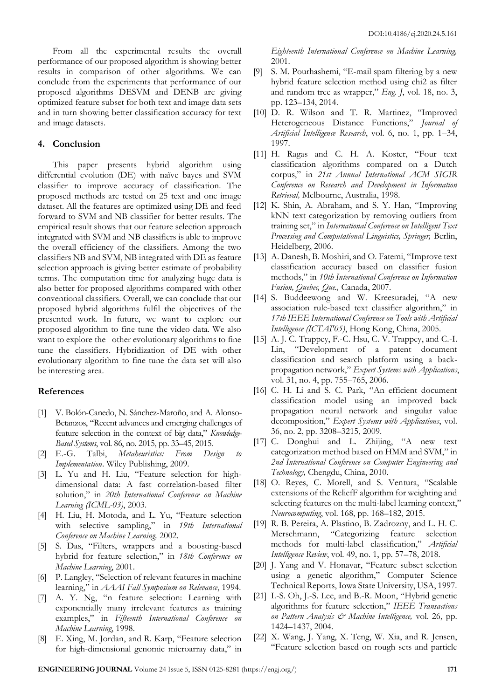From all the experimental results the overall performance of our proposed algorithm is showing better results in comparison of other algorithms. We can conclude from the experiments that performance of our proposed algorithms DESVM and DENB are giving optimized feature subset for both text and image data sets and in turn showing better classification accuracy for text and image datasets.

# **4. Conclusion**

This paper presents hybrid algorithm using differential evolution (DE) with naïve bayes and SVM classifier to improve accuracy of classification. The proposed methods are tested on 25 text and one image dataset. All the features are optimized using DE and feed forward to SVM and NB classifier for better results. The empirical result shows that our feature selection approach integrated with SVM and NB classifiers is able to improve the overall efficiency of the classifiers. Among the two classifiers NB and SVM, NB integrated with DE as feature selection approach is giving better estimate of probability terms. The computation time for analyzing huge data is also better for proposed algorithms compared with other conventional classifiers. Overall, we can conclude that our proposed hybrid algorithms fulfil the objectives of the presented work. In future, we want to explore our proposed algorithm to fine tune the video data. We also want to explore the other evolutionary algorithms to fine tune the classifiers. Hybridization of DE with other evolutionary algorithm to fine tune the data set will also be interesting area.

# **References**

- [1] V. Bolón-Canedo, N. Sánchez-Maroño, and A. Alonso-Betanzos, "Recent advances and emerging challenges of feature selection in the context of big data," *Knowledge-Based Systems*, vol. 86, no. 2015, pp. 33–45, 2015.
- [2] E.-G. Talbi, *Metaheuristics: From Design to Implementation*. Wiley Publishing, 2009.
- [3] L. Yu and H. Liu, "Feature selection for highdimensional data: A fast correlation-based filter solution," in *20th International Conference on Machine Learning (ICML-03)*, 2003.
- [4] H. Liu, H. Motoda, and L. Yu, "Feature selection with selective sampling," in *19th International Conference on Machine Learning,* 2002.
- [5] S. Das, "Filters, wrappers and a boosting-based hybrid for feature selection," in *18th Conference on Machine Learning*, 2001.
- [6] P. Langley, "Selection of relevant features in machine learning," in *AAAI Fall Symposium on Relevance*, 1994.
- [7] A. Y. Ng, "n feature selection: Learning with exponentially many irrelevant features as training examples," in *Fifteenth International Conference on Machine Learning*, 1998.
- [8] E. Xing, M. Jordan, and R. Karp, "Feature selection for high-dimensional genomic microarray data," in

*Eighteenth International Conference on Machine Learning,* 2001.

- [9] S. M. Pourhashemi, "E-mail spam filtering by a new hybrid feature selection method using chi2 as filter and random tree as wrapper," *Eng. J*, vol. 18, no. 3, pp. 123–134, 2014.
- [10] D. R. Wilson and T. R. Martinez, "Improved Heterogeneous Distance Functions," *Journal of Artificial Intelligence Research*, vol. 6, no. 1, pp. 1–34, 1997.
- [11] H. Ragas and C. H. A. Koster, "Four text classification algorithms compared on a Dutch corpus," in *21st Annual International ACM SIGIR Conference on Research and Development in Information Retrieval,* Melbourne, Australia, 1998.
- [12] K. Shin, A. Abraham, and S. Y. Han, "Improving kNN text categorization by removing outliers from training set," in *International Conference on Intelligent Text Processing and Computational Linguistics, Springer,* Berlin, Heidelberg, 2006.
- [13] A. Danesh, B. Moshiri, and O. Fatemi, "Improve text classification accuracy based on classifier fusion methods," in *10th International Conference on Information Fusion, Quebec, Que.,* Canada, 2007.
- [14] S. Buddeewong and W. Kreesuradej, "A new association rule-based text classifier algorithm," in *17th IEEE International Conference on Tools with Artificial Intelligence (ICTAI'05)*, Hong Kong, China, 2005.
- [15] A. J. C. Trappey, F.-C. Hsu, C. V. Trappey, and C.-I. Lin, "Development of a patent document classification and search platform using a backpropagation network," *Expert Systems with Applications*, vol. 31, no. 4, pp. 755–765, 2006.
- [16] C. H. Li and S. C. Park, "An efficient document classification model using an improved back propagation neural network and singular value decomposition," *Expert Systems with Applications*, vol. 36, no. 2, pp. 3208–3215, 2009.
- [17] C. Donghui and L. Zhijing, "A new text categorization method based on HMM and SVM," in *2nd International Conference on Computer Engineering and Technology,* Chengdu, China, 2010.
- [18] O. Reyes, C. Morell, and S. Ventura, "Scalable extensions of the ReliefF algorithm for weighting and selecting features on the multi-label learning context," *Neurocomputing*, vol. 168, pp. 168–182, 2015.
- [19] R. B. Pereira, A. Plastino, B. Zadrozny, and L. H. C. Merschmann, "Categorizing feature selection methods for multi-label classification," *Artificial Intelligence Review*, vol. 49, no. 1, pp. 57–78, 2018.
- [20] J. Yang and V. Honavar, "Feature subset selection using a genetic algorithm," Computer Science Technical Reports, Iowa State University, USA, 1997.
- [21] I.-S. Oh, J.-S. Lee, and B.-R. Moon, "Hybrid genetic algorithms for feature selection," *IEEE Transactions on Pattern Analysis & Machine Intelligence,* vol. 26, pp. 1424–1437, 2004.
- [22] X. Wang, J. Yang, X. Teng, W. Xia, and R. Jensen, "Feature selection based on rough sets and particle